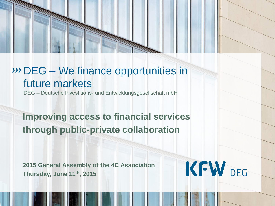

# DEG – We finance opportunities in future markets

DEG – Deutsche Investitions- und Entwicklungsgesellschaft mbH

**Improving access to financial services through public-private collaboration**

<span id="page-0-0"></span>**2015 General Assembly of the 4C Association Thursday, June 11th, 2015** 

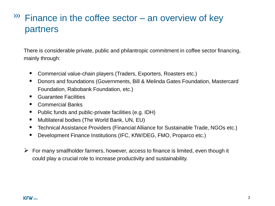### <sup>333</sup> Finance in the coffee sector – an overview of key partners

There is considerable private, public and philantropic commitment in coffee sector financing, mainly through:

- Commercial value-chain players (Traders, Exporters, Roasters etc.)
- Donors and foundations (Governments, Bill & Melinda Gates Foundation, Mastercard Foundation, Rabobank Foundation, etc.)
- Guarantee Facilities
- Commercial Banks
- Public funds and public-private facilities (e.g. IDH)
- Multilateral bodies (The World Bank, UN, EU)
- Technical Assistance Providers (Financial Alliance for Sustainable Trade, NGOs etc.)
- Development Finance Institutions (IFC, KfW/DEG, FMO, Proparco etc.)
- $\triangleright$  For many smallholder farmers, however, access to finance is limited, even though it could play a crucial role to increase productivity and sustainability.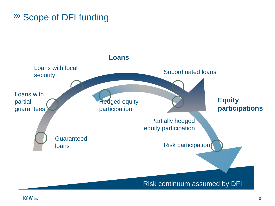Scope of DFI funding

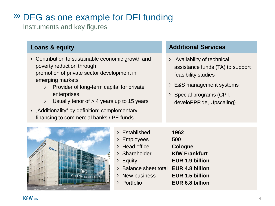## DEG as one example for DFI funding

Instruments and key figures

- › Contribution to sustainable economic growth and poverty reduction through promotion of private sector development in emerging markets
	- › Provider of long-term capital for private enterprises
	- $\angle$  Usually tenor of  $> 4$  years up to 15 years
- › "Additionality" by definition; complementary financing to commercial banks / PE funds

### **Loans & equity Additional Services**

- › Availability of technical assistance funds (TA) to support feasibility studies
- › E&S management systems
- › Special programs (CPT, develoPPP.de, Upscaling)



|         | > Established                                    | 1962                   |
|---------|--------------------------------------------------|------------------------|
|         | <b>Employees</b>                                 | 500                    |
| KFWDEC  | > Head office                                    | <b>Cologne</b>         |
|         | > Shareholder                                    | <b>KfW Frankfurt</b>   |
|         | Equity                                           | <b>EUR 1.9 billion</b> |
|         | Balance sheet total EUR 4.8 billion<br>$\lambda$ |                        |
| $T$ $T$ | > New business                                   | EUR 1.5 billion        |
|         | Portfolio                                        | <b>EUR 6.8 billion</b> |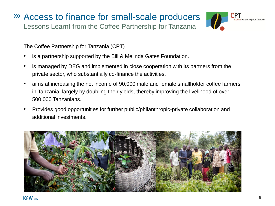### Access to finance for small-scale producers Lessons Learnt from the Coffee Partnership for Tanzania



The Coffee Partnership for Tanzania (CPT)

- is a partnership supported by the Bill & Melinda Gates Foundation.
- is managed by DEG and implemented in close cooperation with its partners from the private sector, who substantially co-finance the activities.
- aims at increasing the net income of 90,000 male and female smallholder coffee farmers in Tanzania, largely by doubling their yields, thereby improving the livelihood of over 500,000 Tanzanians.
- Provides good opportunities for further public/philanthropic-private collaboration and additional investments.

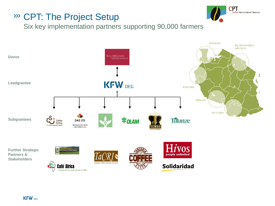### CPT: The Project Setup



Six key implementation partners supporting 90,000 farmers

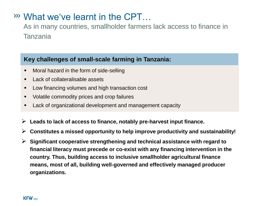### What we've learnt in the CPT…

As in many countries, smallholder farmers lack access to finance in Tanzania

#### **Key challenges of small-scale farming in Tanzania:**

- **Moral hazard in the form of side-selling**
- **Lack of collateralisable assets**
- **Low financing volumes and high transaction cost**
- Volatile commodity prices and crop failures
- **EXECT** Lack of organizational development and management capacity
- **Leads to lack of access to finance, notably pre-harvest input finance.**
- **Constitutes a missed opportunity to help improve productivity and sustainability!**
- **Significant cooperative strengthening and technical assistance with regard to financial literacy must precede or co-exist with any financing intervention in the country. Thus, building access to inclusive smallholder agricultural finance means, most of all, building well-governed and effectively managed producer organizations.**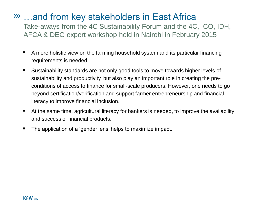### …and from key stakeholders in East Africa

Take-aways from the 4C Sustainability Forum and the 4C, ICO, IDH, AFCA & DEG expert workshop held in Nairobi in February 2015

- A more holistic view on the farming household system and its particular financing requirements is needed.
- Sustainability standards are not only good tools to move towards higher levels of sustainability and productivity, but also play an important role in creating the preconditions of access to finance for small-scale producers. However, one needs to go beyond certification/verification and support farmer entrepreneurship and financial literacy to improve financial inclusion.
- At the same time, agricultural literacy for bankers is needed, to improve the availability and success of financial products.
- The application of a 'gender lens' helps to maximize impact.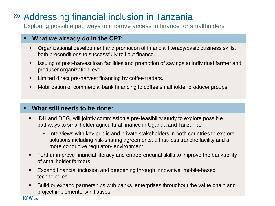### Addressing financial inclusion in Tanzania

Exploring possible pathways to improve access to finance for smallholders

#### **What we already do in the CPT:**

- Organizational development and promotion of financial literacy/basic business skills, both preconditions to successfully roll out finance.
- Issuing of post-harvest loan facilities and promotion of savings at individual farmer and producer organization level.
- Limited direct pre-harvest financing by coffee traders.
- Mobilization of commercial bank financing to coffee smallholder producer groups.

#### **What still needs to be done:**

- IDH and DEG, will jointly commission a pre-feasibility study to explore possible pathways to smallholder agricultural finance in Uganda and Tanzania.
	- **Interviews with key public and private stakeholders in both countries to explore** solutions including risk-sharing agreements, a first-loss tranche facility and a more conducive regulatory environment.
- Further improve financial literacy and entrepreneurial skills to improve the bankability of smallholder farmers.
- Expand financial inclusion and deepening through innovative, mobile-based technologies.
- Build or expand partnerships with banks, enterprises throughout the value chain and project implementers/initiatives.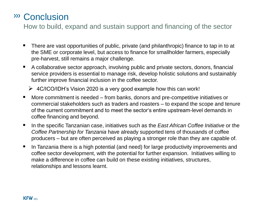### Conclusion

How to build, expand and sustain support and financing of the sector

- There are vast opportunities of public, private (and philanthropic) finance to tap in to at the SME or corporate level, but access to finance for smallholder farmers, especially pre-harvest, still remains a major challenge.
- A collaborative sector approach, involving public and private sectors, donors, financial service providers is essential to manage risk, develop holistic solutions and sustainably further improve financial inclusion in the coffee sector.
	- $\triangleright$  4C/ICO/IDH's Vision 2020 is a very good example how this can work!
- More commitment is needed from banks, donors and pre-competitive initiatives or commercial stakeholders such as traders and roasters – to expand the scope and tenure of the current commitment and to meet the sector's entire upstream-level demands in coffee financing and beyond.
- In the specific Tanzanian case, initiatives such as the *East African Coffee Initiative* or the *Coffee Partnership for Tanzania* have already supported tens of thousands of coffee producers – but are often perceived as playing a stronger role than they are capable of.
- **IF** In Tanzania there is a high potential (and need) for large productivity improvements and coffee sector development, with the potential for further expansion. Initiatives willing to make a difference in coffee can build on these existing initiatives, structures, relationships and lessons learnt.